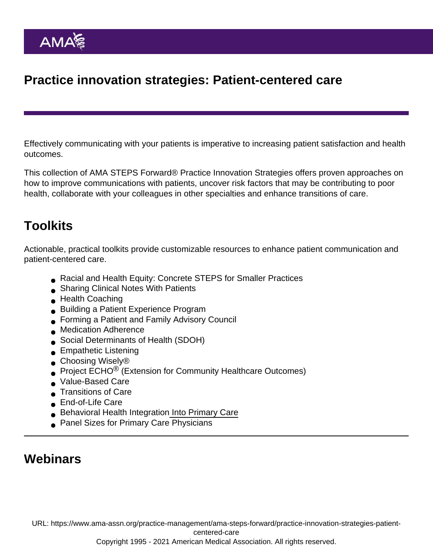# Practice innovation strategies: Patient-centered care

Effectively communicating with your patients is imperative to increasing patient satisfaction and health outcomes.

This collection of AMA STEPS Forward® Practice Innovation Strategies offers proven approaches on how to improve communications with patients, uncover risk factors that may be contributing to poor health, collaborate with your colleagues in other specialties and enhance transitions of care.

### Toolkits

Actionable, practical toolkits provide customizable resources to enhance patient communication and patient-centered care.

- [Racial and Health Equity: Concrete STEPS for Smaller Practices](https://edhub.ama-assn.org/steps-forward/module/2782426)
- [Sharing Clinical Notes With Patients](https://edhub.ama-assn.org/steps-forward/module/2781026)
- [Health Coaching](https://edhub.ama-assn.org/steps-forward/module/2702562)
- [Building a Patient Experience Program](https://edhub.ama-assn.org/steps-forward/module/2702560)
- **[Forming a Patient and Family Advisory Council](https://edhub.ama-assn.org/steps-forward/module/2702594)**
- **[Medication Adherence](https://edhub.ama-assn.org/steps-forward/module/2702595)**
- [Social Determinants of Health \(SDOH\)](https://edhub.ama-assn.org/steps-forward/module/2702762)
- **[Empathetic Listening](https://edhub.ama-assn.org/steps-forward/module/2702561)**
- Choosing Wisely<sup>®</sup>
- Project ECHO<sup>®</sup> [\(Extension for Community Healthcare Outcomes\)](https://edhub.ama-assn.org/steps-forward/module/2702692)
- [Value-Based Care](https://edhub.ama-assn.org/steps-forward/module/2702555)
- **[Transitions of Care](https://edhub.ama-assn.org/steps-forward/module/2702746)**
- **[End-of-Life Care](https://edhub.ama-assn.org/steps-forward/module/2702695)**
- [Behavioral Health Integration](https://edhub.ama-assn.org/steps-forward/module/2782794) Into Primary Care
- **[Panel Sizes for Primary Care Physicians](https://edhub.ama-assn.org/steps-forward/module/2702760)**

#### **Webinars**

URL: [https://www.ama-assn.org/practice-management/ama-steps-forward/practice-innovation-strategies-patient-](https://www.ama-assn.org/practice-management/ama-steps-forward/practice-innovation-strategies-patient-centered-care)

[centered-care](https://www.ama-assn.org/practice-management/ama-steps-forward/practice-innovation-strategies-patient-centered-care)